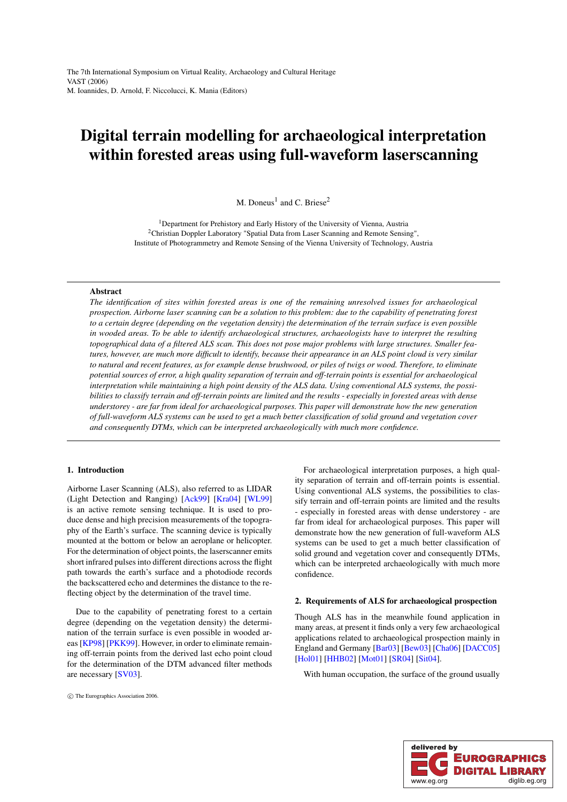# Digital terrain modelling for archaeological interpretation within forested areas using full-waveform laserscanning

M. Doneus<sup>1</sup> and C. Briese<sup>2</sup>

<sup>1</sup>Department for Prehistory and Early History of the University of Vienna, Austria <sup>2</sup>Christian Doppler Laboratory "Spatial Data from Laser Scanning and Remote Sensing", Institute of Photogrammetry and Remote Sensing of the Vienna University of Technology, Austria

## Abstract

*The identification of sites within forested areas is one of the remaining unresolved issues for archaeological prospection. Airborne laser scanning can be a solution to this problem: due to the capability of penetrating forest to a certain degree (depending on the vegetation density) the determination of the terrain surface is even possible in wooded areas. To be able to identify archaeological structures, archaeologists have to interpret the resulting topographical data of a filtered ALS scan. This does not pose major problems with large structures. Smaller features, however, are much more difficult to identify, because their appearance in an ALS point cloud is very similar to natural and recent features, as for example dense brushwood, or piles of twigs or wood. Therefore, to eliminate potential sources of error, a high quality separation of terrain and off-terrain points is essential for archaeological interpretation while maintaining a high point density of the ALS data. Using conventional ALS systems, the possibilities to classify terrain and off-terrain points are limited and the results - especially in forested areas with dense understorey - are far from ideal for archaeological purposes. This paper will demonstrate how the new generation of full-waveform ALS systems can be used to get a much better classification of solid ground and vegetation cover and consequently DTMs, which can be interpreted archaeologically with much more confidence.*

# 1. Introduction

Airborne Laser Scanning (ALS), also referred to as LIDAR (Light Detection and Ranging) [\[Ack99\]](#page-6-0) [\[Kra04\]](#page-6-1) [\[WL99\]](#page-7-0) is an active remote sensing technique. It is used to produce dense and high precision measurements of the topography of the Earth's surface. The scanning device is typically mounted at the bottom or below an aeroplane or helicopter. For the determination of object points, the laserscanner emits short infrared pulses into different directions across the flight path towards the earth's surface and a photodiode records the backscattered echo and determines the distance to the reflecting object by the determination of the travel time.

Due to the capability of penetrating forest to a certain degree (depending on the vegetation density) the determination of the terrain surface is even possible in wooded areas [\[KP98\]](#page-6-2) [\[PKK99\]](#page-7-1). However, in order to eliminate remaining off-terrain points from the derived last echo point cloud for the determination of the DTM advanced filter methods are necessary [\[SV03\]](#page-7-2).

For archaeological interpretation purposes, a high quality separation of terrain and off-terrain points is essential. Using conventional ALS systems, the possibilities to classify terrain and off-terrain points are limited and the results - especially in forested areas with dense understorey - are far from ideal for archaeological purposes. This paper will demonstrate how the new generation of full-waveform ALS systems can be used to get a much better classification of solid ground and vegetation cover and consequently DTMs, which can be interpreted archaeologically with much more confidence.

# 2. Requirements of ALS for archaeological prospection

Though ALS has in the meanwhile found application in many areas, at present it finds only a very few archaeological applications related to archaeological prospection mainly in England and Germany [\[Bar03\]](#page-6-3) [\[Bew03\]](#page-6-4) [\[Cha06\]](#page-6-5) [\[DACC05\]](#page-6-6) [\[Hol01\]](#page-6-7) [\[HHB02\]](#page-6-8) [\[Mot01\]](#page-7-3) [\[SR04\]](#page-7-4) [\[Sit04\]](#page-7-5).

With human occupation, the surface of the ground usually



c The Eurographics Association 2006.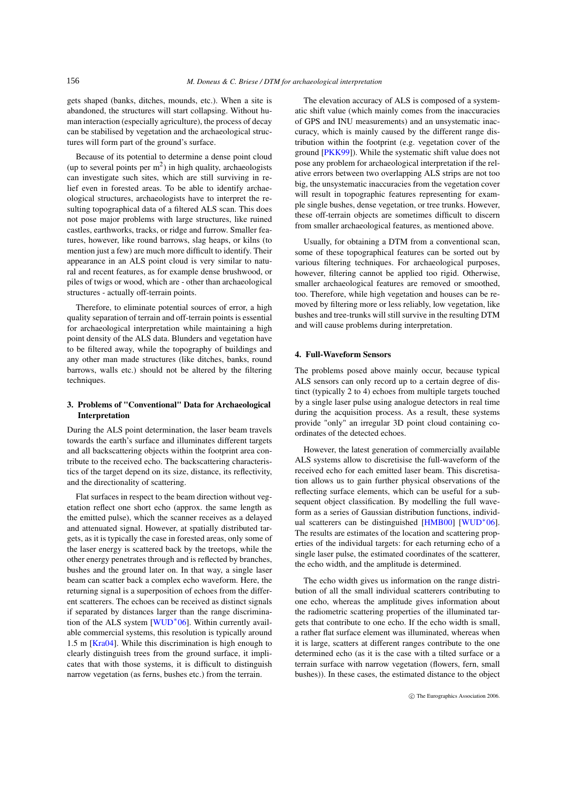gets shaped (banks, ditches, mounds, etc.). When a site is abandoned, the structures will start collapsing. Without human interaction (especially agriculture), the process of decay can be stabilised by vegetation and the archaeological structures will form part of the ground's surface.

Because of its potential to determine a dense point cloud (up to several points per  $m<sup>2</sup>$ ) in high quality, archaeologists can investigate such sites, which are still surviving in relief even in forested areas. To be able to identify archaeological structures, archaeologists have to interpret the resulting topographical data of a filtered ALS scan. This does not pose major problems with large structures, like ruined castles, earthworks, tracks, or ridge and furrow. Smaller features, however, like round barrows, slag heaps, or kilns (to mention just a few) are much more difficult to identify. Their appearance in an ALS point cloud is very similar to natural and recent features, as for example dense brushwood, or piles of twigs or wood, which are - other than archaeological structures - actually off-terrain points.

Therefore, to eliminate potential sources of error, a high quality separation of terrain and off-terrain points is essential for archaeological interpretation while maintaining a high point density of the ALS data. Blunders and vegetation have to be filtered away, while the topography of buildings and any other man made structures (like ditches, banks, round barrows, walls etc.) should not be altered by the filtering techniques.

# 3. Problems of "Conventional" Data for Archaeological Interpretation

During the ALS point determination, the laser beam travels towards the earth's surface and illuminates different targets and all backscattering objects within the footprint area contribute to the received echo. The backscattering characteristics of the target depend on its size, distance, its reflectivity, and the directionality of scattering.

Flat surfaces in respect to the beam direction without vegetation reflect one short echo (approx. the same length as the emitted pulse), which the scanner receives as a delayed and attenuated signal. However, at spatially distributed targets, as it is typically the case in forested areas, only some of the laser energy is scattered back by the treetops, while the other energy penetrates through and is reflected by branches, bushes and the ground later on. In that way, a single laser beam can scatter back a complex echo waveform. Here, the returning signal is a superposition of echoes from the different scatterers. The echoes can be received as distinct signals if separated by distances larger than the range discrimina-tion of the ALS system [\[WUD](#page-7-6)<sup>∗</sup>06]. Within currently available commercial systems, this resolution is typically around 1.5 m [\[Kra04\]](#page-6-1). While this discrimination is high enough to clearly distinguish trees from the ground surface, it implicates that with those systems, it is difficult to distinguish narrow vegetation (as ferns, bushes etc.) from the terrain.

The elevation accuracy of ALS is composed of a systematic shift value (which mainly comes from the inaccuracies of GPS and INU measurements) and an unsystematic inaccuracy, which is mainly caused by the different range distribution within the footprint (e.g. vegetation cover of the ground [\[PKK99\]](#page-7-1)). While the systematic shift value does not pose any problem for archaeological interpretation if the relative errors between two overlapping ALS strips are not too big, the unsystematic inaccuracies from the vegetation cover will result in topographic features representing for example single bushes, dense vegetation, or tree trunks. However, these off-terrain objects are sometimes difficult to discern from smaller archaeological features, as mentioned above.

Usually, for obtaining a DTM from a conventional scan, some of these topographical features can be sorted out by various filtering techniques. For archaeological purposes, however, filtering cannot be applied too rigid. Otherwise, smaller archaeological features are removed or smoothed, too. Therefore, while high vegetation and houses can be removed by filtering more or less reliably, low vegetation, like bushes and tree-trunks will still survive in the resulting DTM and will cause problems during interpretation.

# 4. Full-Waveform Sensors

The problems posed above mainly occur, because typical ALS sensors can only record up to a certain degree of distinct (typically 2 to 4) echoes from multiple targets touched by a single laser pulse using analogue detectors in real time during the acquisition process. As a result, these systems provide "only" an irregular 3D point cloud containing coordinates of the detected echoes.

However, the latest generation of commercially available ALS systems allow to discretisise the full-waveform of the received echo for each emitted laser beam. This discretisation allows us to gain further physical observations of the reflecting surface elements, which can be useful for a subsequent object classification. By modelling the full waveform as a series of Gaussian distribution functions, individual scatterers can be distinguished [\[HMB00\]](#page-6-9) [\[WUD](#page-7-6)∗06]. The results are estimates of the location and scattering properties of the individual targets: for each returning echo of a single laser pulse, the estimated coordinates of the scatterer, the echo width, and the amplitude is determined.

The echo width gives us information on the range distribution of all the small individual scatterers contributing to one echo, whereas the amplitude gives information about the radiometric scattering properties of the illuminated targets that contribute to one echo. If the echo width is small, a rather flat surface element was illuminated, whereas when it is large, scatters at different ranges contribute to the one determined echo (as it is the case with a tilted surface or a terrain surface with narrow vegetation (flowers, fern, small bushes)). In these cases, the estimated distance to the object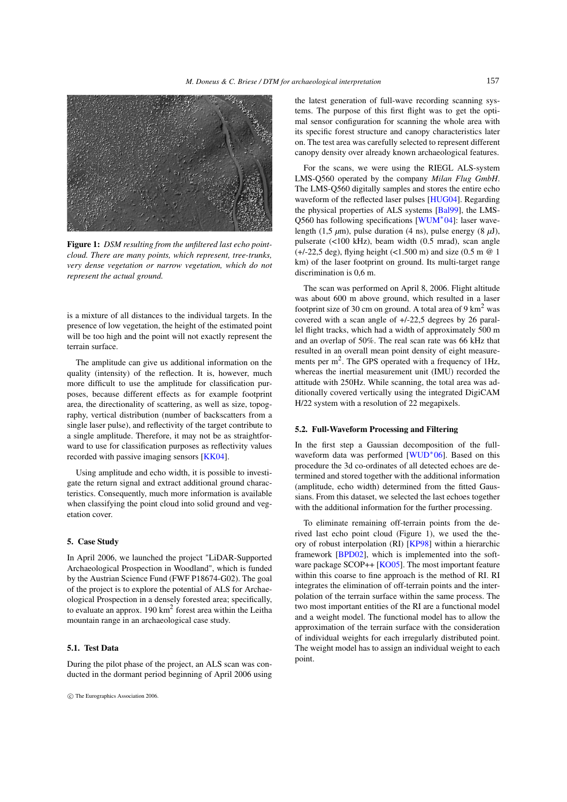

Figure 1: *DSM resulting from the unfiltered last echo pointcloud. There are many points, which represent, tree-trunks, very dense vegetation or narrow vegetation, which do not represent the actual ground.*

is a mixture of all distances to the individual targets. In the presence of low vegetation, the height of the estimated point will be too high and the point will not exactly represent the terrain surface.

The amplitude can give us additional information on the quality (intensity) of the reflection. It is, however, much more difficult to use the amplitude for classification purposes, because different effects as for example footprint area, the directionality of scattering, as well as size, topography, vertical distribution (number of backscatters from a single laser pulse), and reflectivity of the target contribute to a single amplitude. Therefore, it may not be as straightforward to use for classification purposes as reflectivity values recorded with passive imaging sensors [\[KK04\]](#page-6-10).

Using amplitude and echo width, it is possible to investigate the return signal and extract additional ground characteristics. Consequently, much more information is available when classifying the point cloud into solid ground and vegetation cover.

### 5. Case Study

In April 2006, we launched the project "LiDAR-Supported Archaeological Prospection in Woodland", which is funded by the Austrian Science Fund (FWF P18674-G02). The goal of the project is to explore the potential of ALS for Archaeological Prospection in a densely forested area; specifically, to evaluate an approx. 190 km<sup>2</sup> forest area within the Leitha mountain range in an archaeological case study.

# 5.1. Test Data

During the pilot phase of the project, an ALS scan was conducted in the dormant period beginning of April 2006 using

the latest generation of full-wave recording scanning systems. The purpose of this first flight was to get the optimal sensor configuration for scanning the whole area with its specific forest structure and canopy characteristics later on. The test area was carefully selected to represent different canopy density over already known archaeological features.

For the scans, we were using the RIEGL ALS-system LMS-Q560 operated by the company *Milan Flug GmbH*. The LMS-Q560 digitally samples and stores the entire echo waveform of the reflected laser pulses [\[HUG04\]](#page-6-11). Regarding the physical properties of ALS systems [\[Bal99\]](#page-6-12), the LMS-Q560 has following specifications [\[WUM](#page-7-7)<sup>\*04]</sup>: laser wavelength (1,5  $\mu$ m), pulse duration (4 ns), pulse energy (8  $\mu$ J), pulserate (<100 kHz), beam width (0.5 mrad), scan angle  $(+/-22,5 \text{ deg})$ , flying height  $(<1.500 \text{ m})$  and size  $(0.5 \text{ m} \cdot \textcircled{e} 1)$ km) of the laser footprint on ground. Its multi-target range discrimination is 0,6 m.

The scan was performed on April 8, 2006. Flight altitude was about 600 m above ground, which resulted in a laser footprint size of 30 cm on ground. A total area of  $9 \text{ km}^2$  was covered with a scan angle of +/-22,5 degrees by 26 parallel flight tracks, which had a width of approximately 500 m and an overlap of 50%. The real scan rate was 66 kHz that resulted in an overall mean point density of eight measurements per  $m<sup>2</sup>$ . The GPS operated with a frequency of 1Hz, whereas the inertial measurement unit (IMU) recorded the attitude with 250Hz. While scanning, the total area was additionally covered vertically using the integrated DigiCAM H/22 system with a resolution of 22 megapixels.

#### 5.2. Full-Waveform Processing and Filtering

In the first step a Gaussian decomposition of the full-waveform data was performed [\[WUD](#page-7-6)<sup>∗</sup>06]. Based on this procedure the 3d co-ordinates of all detected echoes are determined and stored together with the additional information (amplitude, echo width) determined from the fitted Gaussians. From this dataset, we selected the last echoes together with the additional information for the further processing.

To eliminate remaining off-terrain points from the derived last echo point cloud (Figure 1), we used the theory of robust interpolation (RI) [\[KP98\]](#page-6-2) within a hierarchic framework [\[BPD02\]](#page-6-13), which is implemented into the soft-ware package SCOP++ [\[KO05\]](#page-6-14). The most important feature within this coarse to fine approach is the method of RI. RI integrates the elimination of off-terrain points and the interpolation of the terrain surface within the same process. The two most important entities of the RI are a functional model and a weight model. The functional model has to allow the approximation of the terrain surface with the consideration of individual weights for each irregularly distributed point. The weight model has to assign an individual weight to each point.

c The Eurographics Association 2006.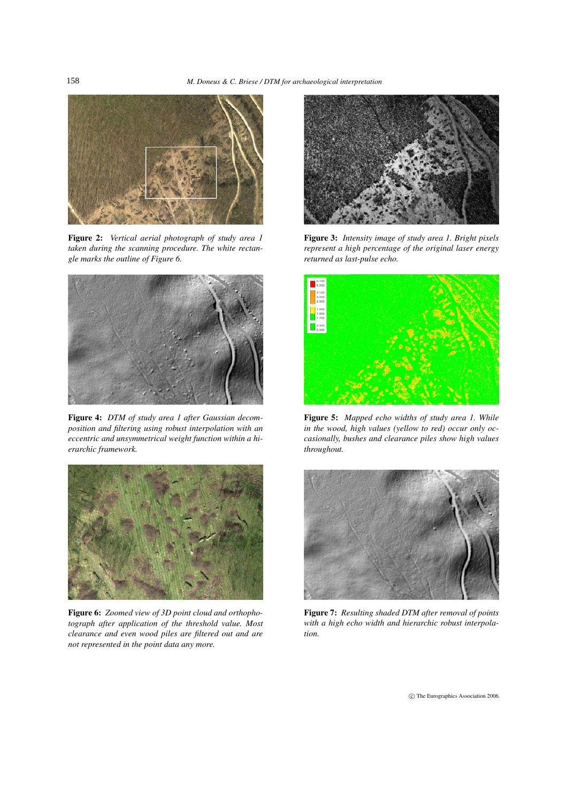

Figure 2: *Vertical aerial photograph of study area 1 taken during the scanning procedure. The white rectangle marks the outline of Figure 6.*



Figure 4: *DTM of study area 1 after Gaussian decomposition and filtering using robust interpolation with an eccentric and unsymmetrical weight function within a hierarchic framework.*



Figure 6: *Zoomed view of 3D point cloud and orthophotograph after application of the threshold value. Most clearance and even wood piles are filtered out and are not represented in the point data any more.*



Figure 3: *Intensity image of study area 1. Bright pixels represent a high percentage of the original laser energy returned as last-pulse echo.*



Figure 5: *Mapped echo widths of study area 1. While in the wood, high values (yellow to red) occur only occasionally, bushes and clearance piles show high values throughout.*



Figure 7: *Resulting shaded DTM after removal of points with a high echo width and hierarchic robust interpolation.*

c The Eurographics Association 2006.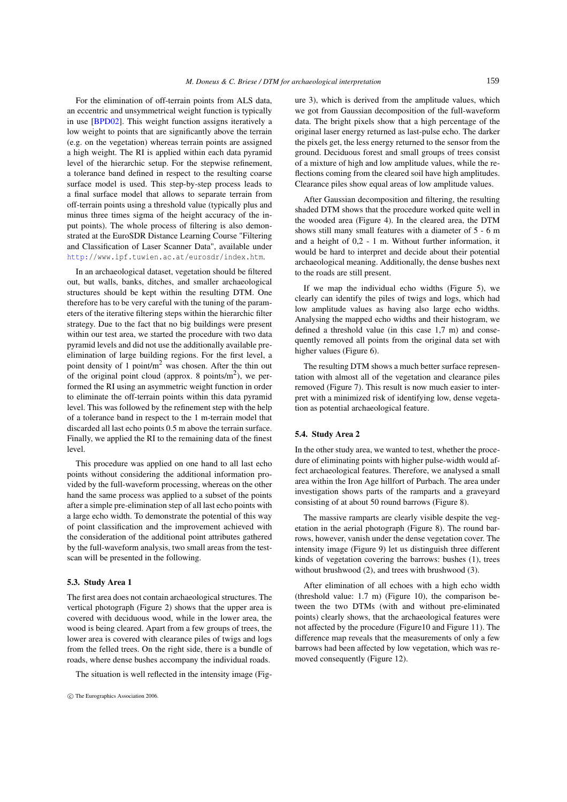For the elimination of off-terrain points from ALS data, an eccentric and unsymmetrical weight function is typically in use [\[BPD02\]](#page-6-13). This weight function assigns iteratively a low weight to points that are significantly above the terrain (e.g. on the vegetation) whereas terrain points are assigned a high weight. The RI is applied within each data pyramid level of the hierarchic setup. For the stepwise refinement, a tolerance band defined in respect to the resulting coarse surface model is used. This step-by-step process leads to a final surface model that allows to separate terrain from off-terrain points using a threshold value (typically plus and minus three times sigma of the height accuracy of the input points). The whole process of filtering is also demonstrated at the EuroSDR Distance Learning Course "Filtering and Classification of Laser Scanner Data", available under [http:/](http://www.ipf.tuwien.ac.at/eurosdr/index.htm)/www.ipf.tuwien.ac.at/eurosdr/index.htm.

In an archaeological dataset, vegetation should be filtered out, but walls, banks, ditches, and smaller archaeological structures should be kept within the resulting DTM. One therefore has to be very careful with the tuning of the parameters of the iterative filtering steps within the hierarchic filter strategy. Due to the fact that no big buildings were present within our test area, we started the procedure with two data pyramid levels and did not use the additionally available preelimination of large building regions. For the first level, a point density of 1 point/m<sup>2</sup> was chosen. After the thin out of the original point cloud (approx. 8 points/ $m<sup>2</sup>$ ), we performed the RI using an asymmetric weight function in order to eliminate the off-terrain points within this data pyramid level. This was followed by the refinement step with the help of a tolerance band in respect to the 1 m-terrain model that discarded all last echo points 0.5 m above the terrain surface. Finally, we applied the RI to the remaining data of the finest level.

This procedure was applied on one hand to all last echo points without considering the additional information provided by the full-waveform processing, whereas on the other hand the same process was applied to a subset of the points after a simple pre-elimination step of all last echo points with a large echo width. To demonstrate the potential of this way of point classification and the improvement achieved with the consideration of the additional point attributes gathered by the full-waveform analysis, two small areas from the testscan will be presented in the following.

### 5.3. Study Area 1

The first area does not contain archaeological structures. The vertical photograph (Figure 2) shows that the upper area is covered with deciduous wood, while in the lower area, the wood is being cleared. Apart from a few groups of trees, the lower area is covered with clearance piles of twigs and logs from the felled trees. On the right side, there is a bundle of roads, where dense bushes accompany the individual roads.

The situation is well reflected in the intensity image (Fig-

ure 3), which is derived from the amplitude values, which we got from Gaussian decomposition of the full-waveform data. The bright pixels show that a high percentage of the original laser energy returned as last-pulse echo. The darker the pixels get, the less energy returned to the sensor from the ground. Deciduous forest and small groups of trees consist of a mixture of high and low amplitude values, while the reflections coming from the cleared soil have high amplitudes. Clearance piles show equal areas of low amplitude values.

After Gaussian decomposition and filtering, the resulting shaded DTM shows that the procedure worked quite well in the wooded area (Figure 4). In the cleared area, the DTM shows still many small features with a diameter of 5 - 6 m and a height of 0,2 - 1 m. Without further information, it would be hard to interpret and decide about their potential archaeological meaning. Additionally, the dense bushes next to the roads are still present.

If we map the individual echo widths (Figure 5), we clearly can identify the piles of twigs and logs, which had low amplitude values as having also large echo widths. Analysing the mapped echo widths and their histogram, we defined a threshold value (in this case 1,7 m) and consequently removed all points from the original data set with higher values (Figure 6).

The resulting DTM shows a much better surface representation with almost all of the vegetation and clearance piles removed (Figure 7). This result is now much easier to interpret with a minimized risk of identifying low, dense vegetation as potential archaeological feature.

# 5.4. Study Area 2

In the other study area, we wanted to test, whether the procedure of eliminating points with higher pulse-width would affect archaeological features. Therefore, we analysed a small area within the Iron Age hillfort of Purbach. The area under investigation shows parts of the ramparts and a graveyard consisting of at about 50 round barrows (Figure 8).

The massive ramparts are clearly visible despite the vegetation in the aerial photograph (Figure 8). The round barrows, however, vanish under the dense vegetation cover. The intensity image (Figure 9) let us distinguish three different kinds of vegetation covering the barrows: bushes (1), trees without brushwood (2), and trees with brushwood (3).

After elimination of all echoes with a high echo width (threshold value: 1.7 m) (Figure 10), the comparison between the two DTMs (with and without pre-eliminated points) clearly shows, that the archaeological features were not affected by the procedure (Figure10 and Figure 11). The difference map reveals that the measurements of only a few barrows had been affected by low vegetation, which was removed consequently (Figure 12).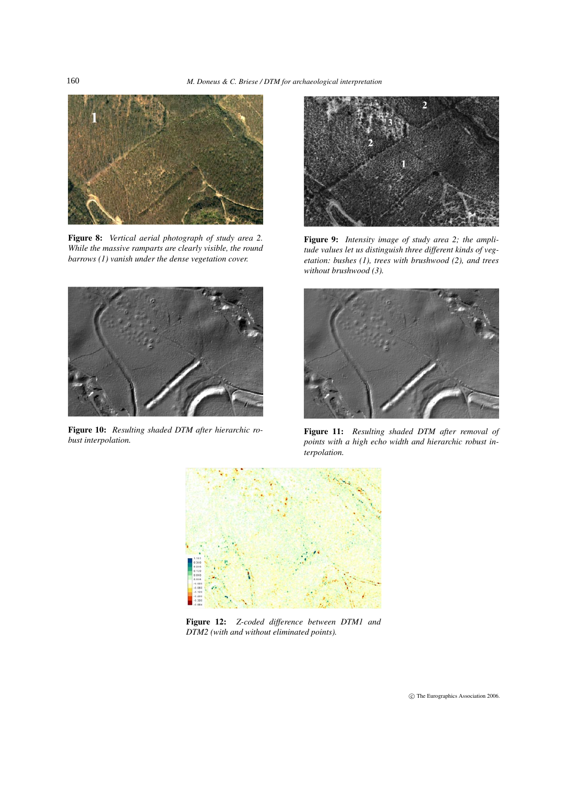

Figure 8: *Vertical aerial photograph of study area 2. While the massive ramparts are clearly visible, the round barrows (1) vanish under the dense vegetation cover.*



Figure 10: *Resulting shaded DTM after hierarchic robust interpolation.*



Figure 9: *Intensity image of study area 2; the amplitude values let us distinguish three different kinds of vegetation: bushes (1), trees with brushwood (2), and trees without brushwood (3).*



Figure 11: *Resulting shaded DTM after removal of points with a high echo width and hierarchic robust interpolation.*



Figure 12: *Z-coded difference between DTM1 and DTM2 (with and without eliminated points).*

160

c The Eurographics Association 2006.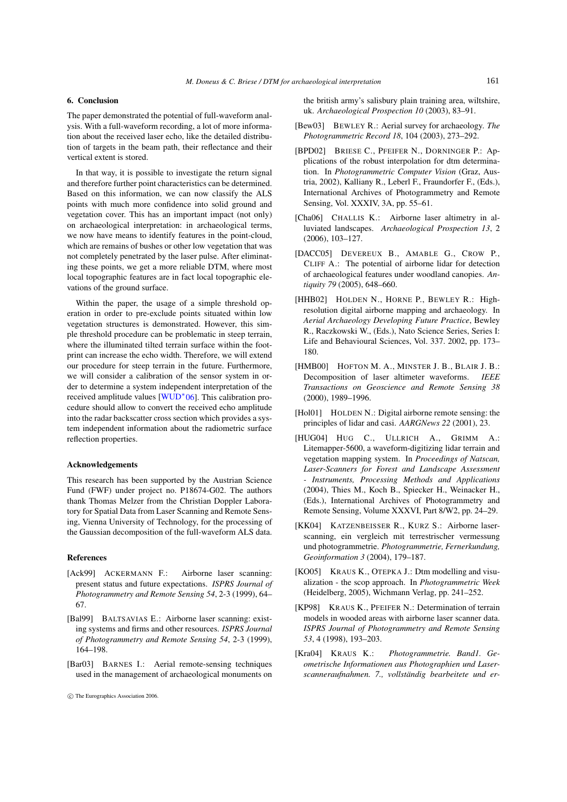## 6. Conclusion

The paper demonstrated the potential of full-waveform analysis. With a full-waveform recording, a lot of more information about the received laser echo, like the detailed distribution of targets in the beam path, their reflectance and their vertical extent is stored.

In that way, it is possible to investigate the return signal and therefore further point characteristics can be determined. Based on this information, we can now classify the ALS points with much more confidence into solid ground and vegetation cover. This has an important impact (not only) on archaeological interpretation: in archaeological terms, we now have means to identify features in the point-cloud, which are remains of bushes or other low vegetation that was not completely penetrated by the laser pulse. After eliminating these points, we get a more reliable DTM, where most local topographic features are in fact local topographic elevations of the ground surface.

Within the paper, the usage of a simple threshold operation in order to pre-exclude points situated within low vegetation structures is demonstrated. However, this simple threshold procedure can be problematic in steep terrain, where the illuminated tilted terrain surface within the footprint can increase the echo width. Therefore, we will extend our procedure for steep terrain in the future. Furthermore, we will consider a calibration of the sensor system in order to determine a system independent interpretation of the received amplitude values [\[WUD](#page-7-6)∗06]. This calibration procedure should allow to convert the received echo amplitude into the radar backscatter cross section which provides a system independent information about the radiometric surface reflection properties.

### Acknowledgements

This research has been supported by the Austrian Science Fund (FWF) under project no. P18674-G02. The authors thank Thomas Melzer from the Christian Doppler Laboratory for Spatial Data from Laser Scanning and Remote Sensing, Vienna University of Technology, for the processing of the Gaussian decomposition of the full-waveform ALS data.

## <span id="page-6-0"></span>References

- [Ack99] ACKERMANN F.: Airborne laser scanning: present status and future expectations. *ISPRS Journal of Photogrammetry and Remote Sensing 54*, 2-3 (1999), 64– 67.
- <span id="page-6-12"></span>[Bal99] BALTSAVIAS E.: Airborne laser scanning: existing systems and firms and other resources. *ISPRS Journal of Photogrammetry and Remote Sensing 54*, 2-3 (1999), 164–198.
- <span id="page-6-3"></span>[Bar03] BARNES I.: Aerial remote-sensing techniques used in the management of archaeological monuments on

<span id="page-6-4"></span>the british army's salisbury plain training area, wiltshire, uk. *Archaeological Prospection 10* (2003), 83–91.

- <span id="page-6-13"></span>[Bew03] BEWLEY R.: Aerial survey for archaeology. *The Photogrammetric Record 18*, 104 (2003), 273–292.
- [BPD02] BRIESE C., PFEIFER N., DORNINGER P.: Applications of the robust interpolation for dtm determination. In *Photogrammetric Computer Vision* (Graz, Austria, 2002), Kalliany R., Leberl F., Fraundorfer F., (Eds.), International Archives of Photogrammetry and Remote Sensing, Vol. XXXIV, 3A, pp. 55–61.
- <span id="page-6-6"></span><span id="page-6-5"></span>[Cha06] CHALLIS K.: Airborne laser altimetry in alluviated landscapes. *Archaeological Prospection 13*, 2 (2006), 103–127.
- [DACC05] DEVEREUX B., AMABLE G., CROW P., CLIFF A.: The potential of airborne lidar for detection of archaeological features under woodland canopies. *Antiquity 79* (2005), 648–660.
- <span id="page-6-8"></span>[HHB02] HOLDEN N., HORNE P., BEWLEY R.: Highresolution digital airborne mapping and archaeology. In *Aerial Archaeology Developing Future Practice*, Bewley R., Raczkowski W., (Eds.), Nato Science Series, Series I: Life and Behavioural Sciences, Vol. 337. 2002, pp. 173– 180.
- <span id="page-6-9"></span>[HMB00] HOFTON M. A., MINSTER J. B., BLAIR J. B.: Decomposition of laser altimeter waveforms. *IEEE Transactions on Geoscience and Remote Sensing 38* (2000), 1989–1996.
- <span id="page-6-11"></span><span id="page-6-7"></span>[Hol01] HOLDEN N.: Digital airborne remote sensing: the principles of lidar and casi. *AARGNews 22* (2001), 23.
- [HUG04] HUG C., ULLRICH A., GRIMM A.: Litemapper-5600, a waveform-digitizing lidar terrain and vegetation mapping system. In *Proceedings of Natscan, Laser-Scanners for Forest and Landscape Assessment - Instruments, Processing Methods and Applications* (2004), Thies M., Koch B., Spiecker H., Weinacker H., (Eds.), International Archives of Photogrammetry and Remote Sensing, Volume XXXVI, Part 8/W2, pp. 24–29.
- <span id="page-6-10"></span>[KK04] KATZENBEISSER R., KURZ S.: Airborne laserscanning, ein vergleich mit terrestrischer vermessung und photogrammetrie. *Photogrammetrie, Fernerkundung, Geoinformation 3* (2004), 179–187.
- <span id="page-6-14"></span><span id="page-6-2"></span>[KO05] KRAUS K., OTEPKA J.: Dtm modelling and visualization - the scop approach. In *Photogrammetric Week* (Heidelberg, 2005), Wichmann Verlag, pp. 241–252.
- [KP98] KRAUS K., PFEIFER N.: Determination of terrain models in wooded areas with airborne laser scanner data. *ISPRS Journal of Photogrammetry and Remote Sensing 53*, 4 (1998), 193–203.
- <span id="page-6-1"></span>[Kra04] KRAUS K.: *Photogrammetrie. Band1. Geometrische Informationen aus Photographien und Laserscanneraufnahmen. 7., vollständig bearbeitete und er-*

c The Eurographics Association 2006.